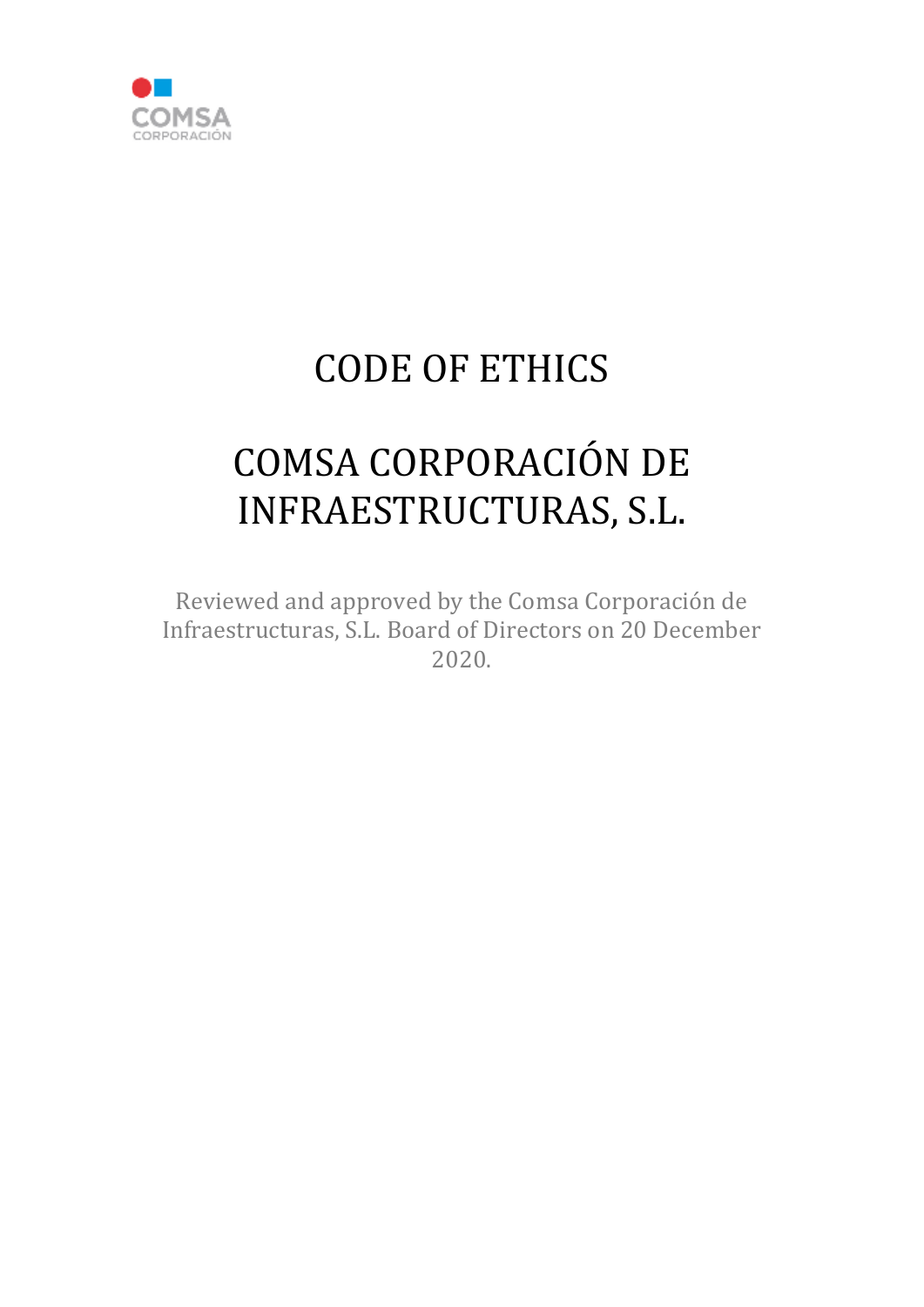

# CODE OF ETHICS

# COMSA CORPORACIÓN DE INFRAESTRUCTURAS, S.L.

Reviewed and approved by the Comsa Corporación de Infraestructuras, S.L. Board of Directors on 20 December 2020.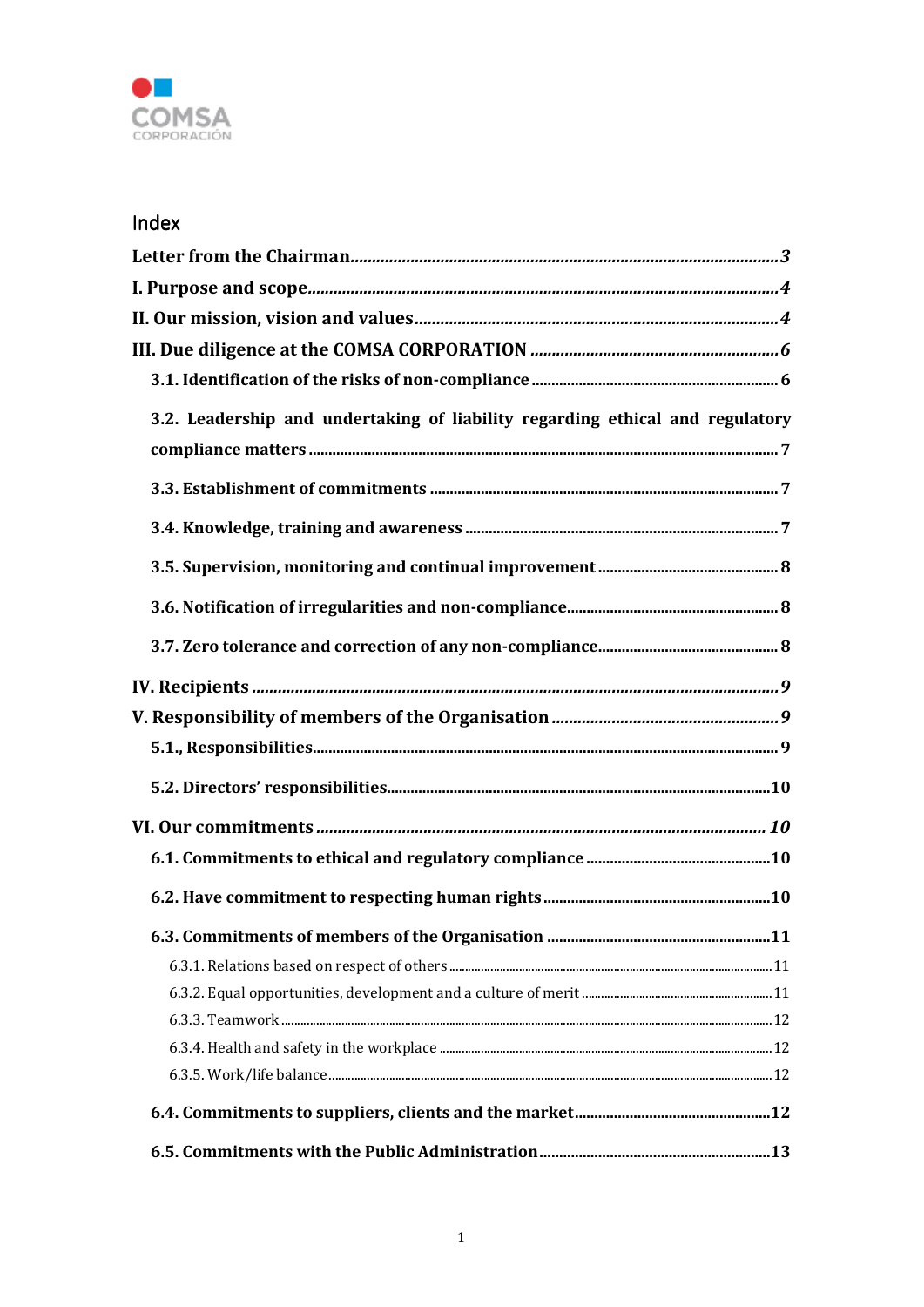

# Index

| 3.2. Leadership and undertaking of liability regarding ethical and regulatory |
|-------------------------------------------------------------------------------|
|                                                                               |
|                                                                               |
|                                                                               |
|                                                                               |
|                                                                               |
|                                                                               |
|                                                                               |
|                                                                               |
|                                                                               |
|                                                                               |
|                                                                               |
|                                                                               |
|                                                                               |
|                                                                               |
|                                                                               |
|                                                                               |
|                                                                               |
|                                                                               |
|                                                                               |
|                                                                               |
|                                                                               |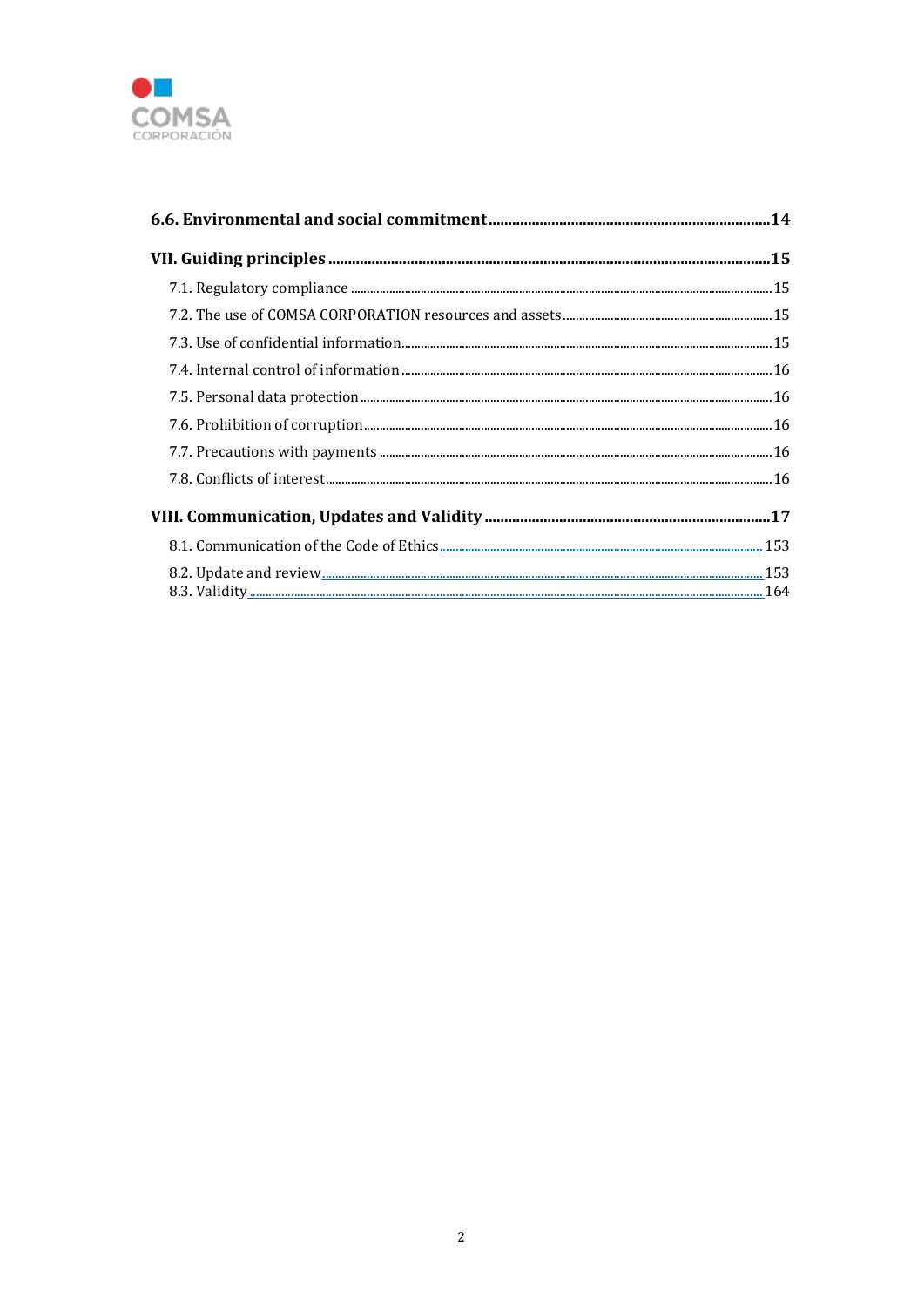

| $7.1. \textit{Regulatory compliance} \textit{} \textit{} \\ \textit{________} \\$ |  |
|-----------------------------------------------------------------------------------|--|
|                                                                                   |  |
|                                                                                   |  |
|                                                                                   |  |
|                                                                                   |  |
|                                                                                   |  |
|                                                                                   |  |
|                                                                                   |  |
|                                                                                   |  |
|                                                                                   |  |
|                                                                                   |  |
|                                                                                   |  |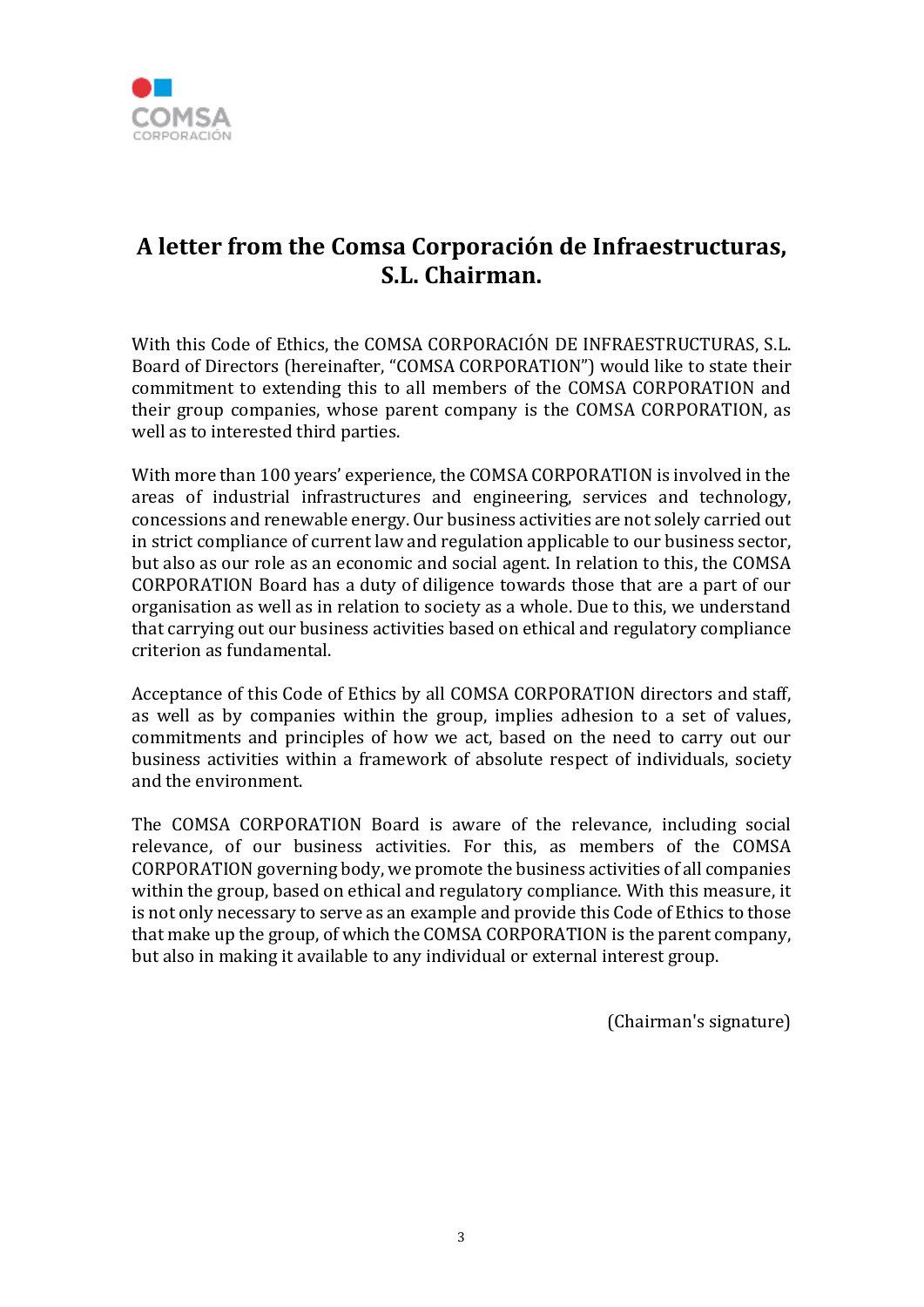

# **A letter from the Comsa Corporación de Infraestructuras, S.L. Chairman.**

With this Code of Ethics, the COMSA CORPORACIÓN DE INFRAESTRUCTURAS, S.L. Board of Directors (hereinafter, "COMSA CORPORATION") would like to state their commitment to extending this to all members of the COMSA CORPORATION and their group companies, whose parent company is the COMSA CORPORATION, as well as to interested third parties.

With more than 100 years' experience, the COMSA CORPORATION is involved in the areas of industrial infrastructures and engineering, services and technology, concessions and renewable energy. Our business activities are not solely carried out in strict compliance of current law and regulation applicable to our business sector, but also as our role as an economic and social agent. In relation to this, the COMSA CORPORATION Board has a duty of diligence towards those that are a part of our organisation as well as in relation to society as a whole. Due to this, we understand that carrying out our business activities based on ethical and regulatory compliance criterion as fundamental.

Acceptance of this Code of Ethics by all COMSA CORPORATION directors and staff, as well as by companies within the group, implies adhesion to a set of values, commitments and principles of how we act, based on the need to carry out our business activities within a framework of absolute respect of individuals, society and the environment.

The COMSA CORPORATION Board is aware of the relevance, including social relevance, of our business activities. For this, as members of the COMSA CORPORATION governing body, we promote the business activities of all companies within the group, based on ethical and regulatory compliance. With this measure, it is not only necessary to serve as an example and provide this Code of Ethics to those that make up the group, of which the COMSA CORPORATION is the parent company, but also in making it available to any individual or external interest group.

(Chairman's signature)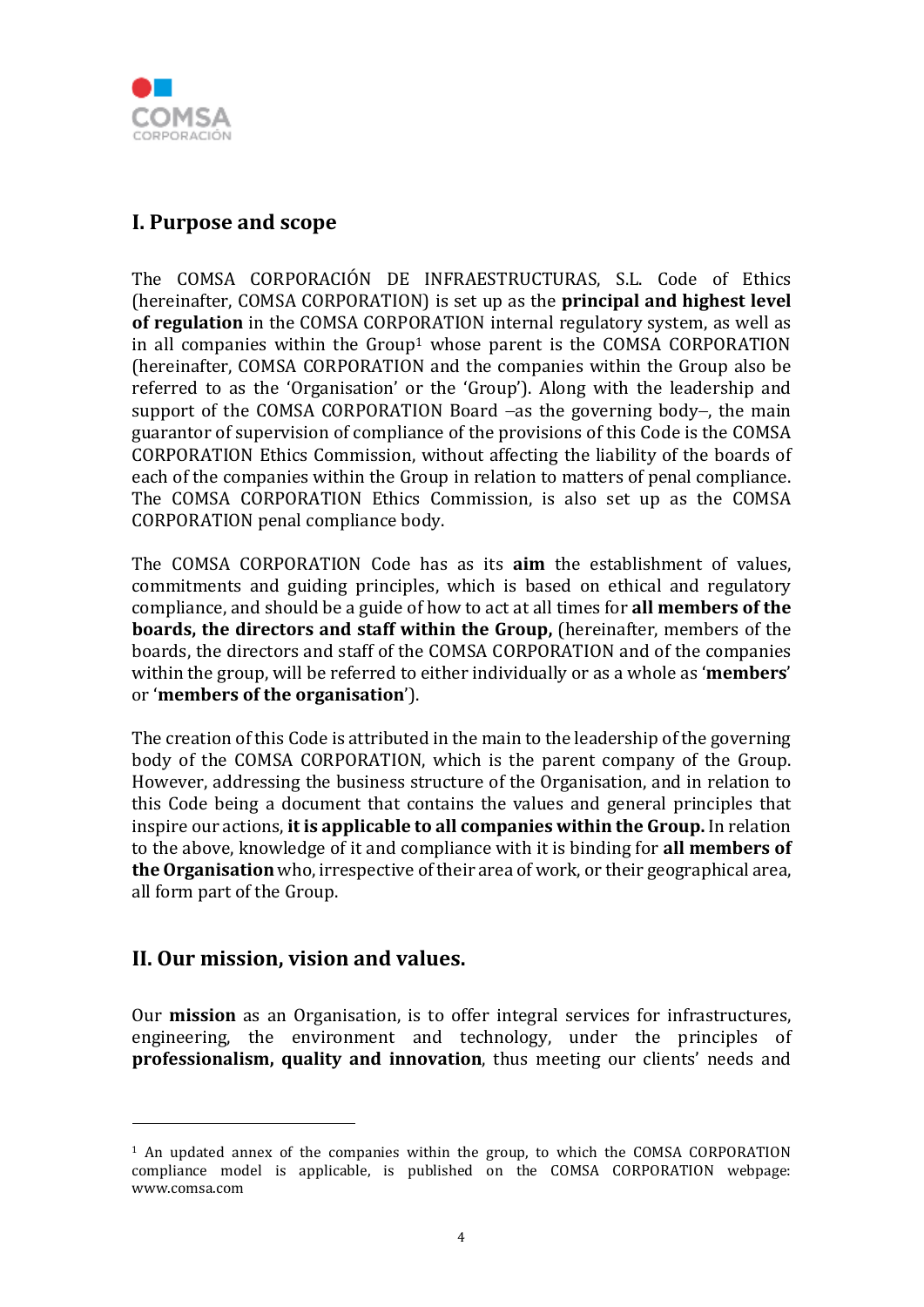

# **I. Purpose and scope**

The COMSA CORPORACIÓN DE INFRAESTRUCTURAS, S.L. Code of Ethics (hereinafter, COMSA CORPORATION) is set up as the **principal and highest level of regulation** in the COMSA CORPORATION internal regulatory system, as well as in all companies within the Group1 whose parent is the COMSA CORPORATION (hereinafter, COMSA CORPORATION and the companies within the Group also be referred to as the 'Organisation' or the 'Group'). Along with the leadership and support of the COMSA CORPORATION Board  $-$ as the governing body–, the main guarantor of supervision of compliance of the provisions of this Code is the COMSA CORPORATION Ethics Commission, without affecting the liability of the boards of each of the companies within the Group in relation to matters of penal compliance. The COMSA CORPORATION Ethics Commission, is also set up as the COMSA CORPORATION penal compliance body.

The COMSA CORPORATION Code has as its **aim** the establishment of values, commitments and guiding principles, which is based on ethical and regulatory compliance, and should be a guide of how to act at all times for **all members of the boards, the directors and staff within the Group,** (hereinafter, members of the boards, the directors and staff of the COMSA CORPORATION and of the companies within the group, will be referred to either individually or as a whole as '**members**' or '**members of the organisation**').

The creation of this Code is attributed in the main to the leadership of the governing body of the COMSA CORPORATION, which is the parent company of the Group. However, addressing the business structure of the Organisation, and in relation to this Code being a document that contains the values and general principles that inspire our actions, **it is applicable to all companies within the Group.** In relation to the above, knowledge of it and compliance with it is binding for **all members of the Organisation** who, irrespective of their area of work, or their geographical area, all form part of the Group.

# **II. Our mission, vision and values.**

Our **mission** as an Organisation, is to offer integral services for infrastructures, engineering, the environment and technology, under the principles of **professionalism, quality and innovation**, thus meeting our clients' needs and

<sup>&</sup>lt;sup>1</sup> An updated annex of the companies within the group, to which the COMSA CORPORATION compliance model is applicable, is published on the COMSA CORPORATION webpage: www.comsa.com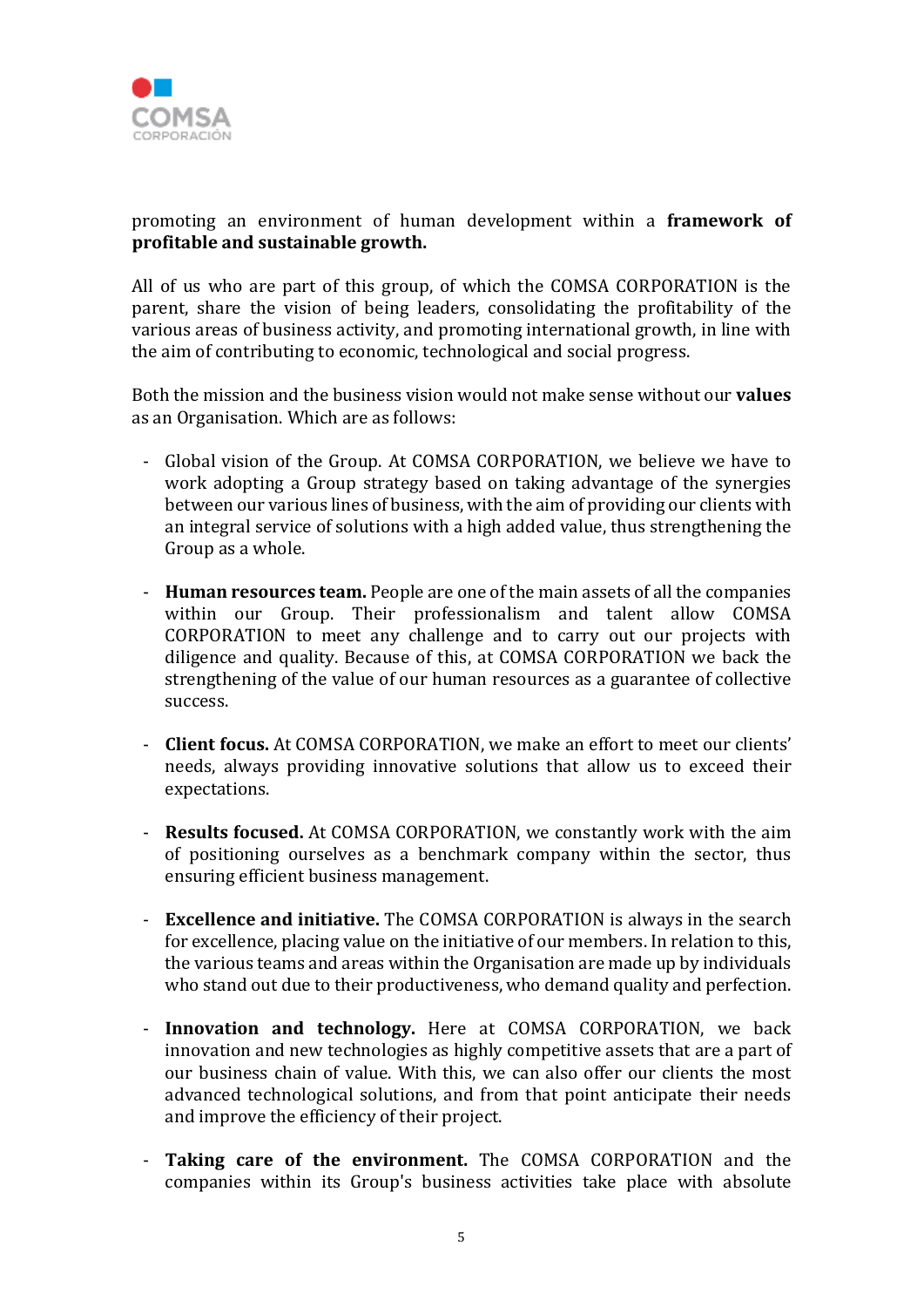

promoting an environment of human development within a **framework of profitable and sustainable growth.**

All of us who are part of this group, of which the COMSA CORPORATION is the parent, share the vision of being leaders, consolidating the profitability of the various areas of business activity, and promoting international growth, in line with the aim of contributing to economic, technological and social progress.

Both the mission and the business vision would not make sense without our **values** as an Organisation. Which are as follows:

- Global vision of the Group. At COMSA CORPORATION, we believe we have to work adopting a Group strategy based on taking advantage of the synergies between our various lines of business, with the aim of providing our clients with an integral service of solutions with a high added value, thus strengthening the Group as a whole.
- **Human resources team.** People are one of the main assets of all the companies within our Group. Their professionalism and talent allow COMSA CORPORATION to meet any challenge and to carry out our projects with diligence and quality. Because of this, at COMSA CORPORATION we back the strengthening of the value of our human resources as a guarantee of collective success.
- **Client focus.** At COMSA CORPORATION, we make an effort to meet our clients' needs, always providing innovative solutions that allow us to exceed their expectations.
- **Results focused.** At COMSA CORPORATION, we constantly work with the aim of positioning ourselves as a benchmark company within the sector, thus ensuring efficient business management.
- **Excellence and initiative.** The COMSA CORPORATION is always in the search for excellence, placing value on the initiative of our members. In relation to this, the various teams and areas within the Organisation are made up by individuals who stand out due to their productiveness, who demand quality and perfection.
- **Innovation and technology.** Here at COMSA CORPORATION, we back innovation and new technologies as highly competitive assets that are a part of our business chain of value. With this, we can also offer our clients the most advanced technological solutions, and from that point anticipate their needs and improve the efficiency of their project.
- **Taking care of the environment.** The COMSA CORPORATION and the companies within its Group's business activities take place with absolute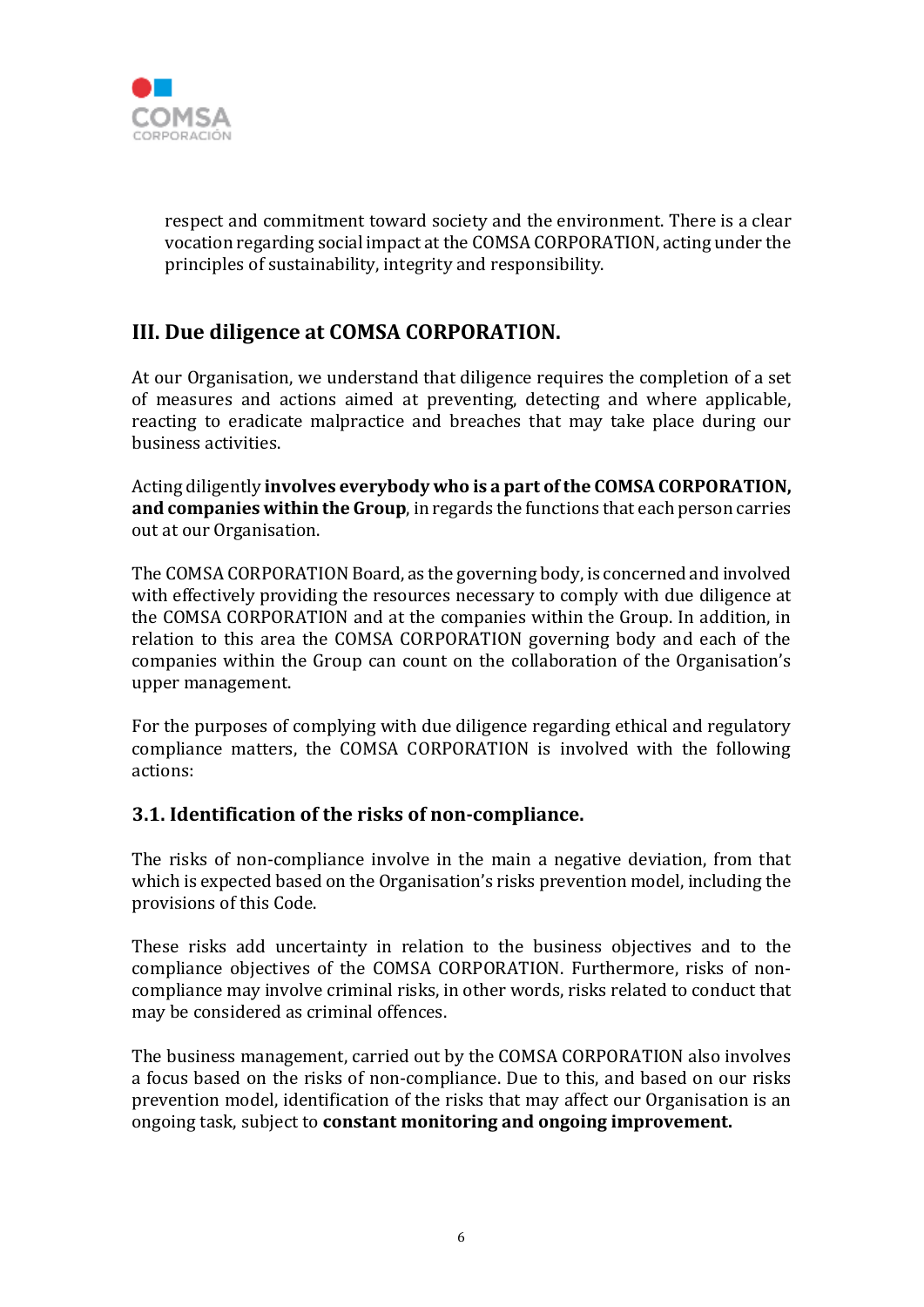

respect and commitment toward society and the environment. There is a clear vocation regarding social impact at the COMSA CORPORATION, acting under the principles of sustainability, integrity and responsibility.

# **III. Due diligence at COMSA CORPORATION.**

At our Organisation, we understand that diligence requires the completion of a set of measures and actions aimed at preventing, detecting and where applicable, reacting to eradicate malpractice and breaches that may take place during our business activities.

Acting diligently **involves everybody who is a part of the COMSA CORPORATION, and companies within the Group**, in regards the functions that each person carries out at our Organisation.

The COMSA CORPORATION Board, as the governing body, is concerned and involved with effectively providing the resources necessary to comply with due diligence at the COMSA CORPORATION and at the companies within the Group. In addition, in relation to this area the COMSA CORPORATION governing body and each of the companies within the Group can count on the collaboration of the Organisation's upper management.

For the purposes of complying with due diligence regarding ethical and regulatory compliance matters, the COMSA CORPORATION is involved with the following actions:

# **3.1. Identification of the risks of non-compliance.**

The risks of non-compliance involve in the main a negative deviation, from that which is expected based on the Organisation's risks prevention model, including the provisions of this Code.

These risks add uncertainty in relation to the business objectives and to the compliance objectives of the COMSA CORPORATION. Furthermore, risks of noncompliance may involve criminal risks, in other words, risks related to conduct that may be considered as criminal offences.

The business management, carried out by the COMSA CORPORATION also involves a focus based on the risks of non-compliance. Due to this, and based on our risks prevention model, identification of the risks that may affect our Organisation is an ongoing task, subject to **constant monitoring and ongoing improvement.**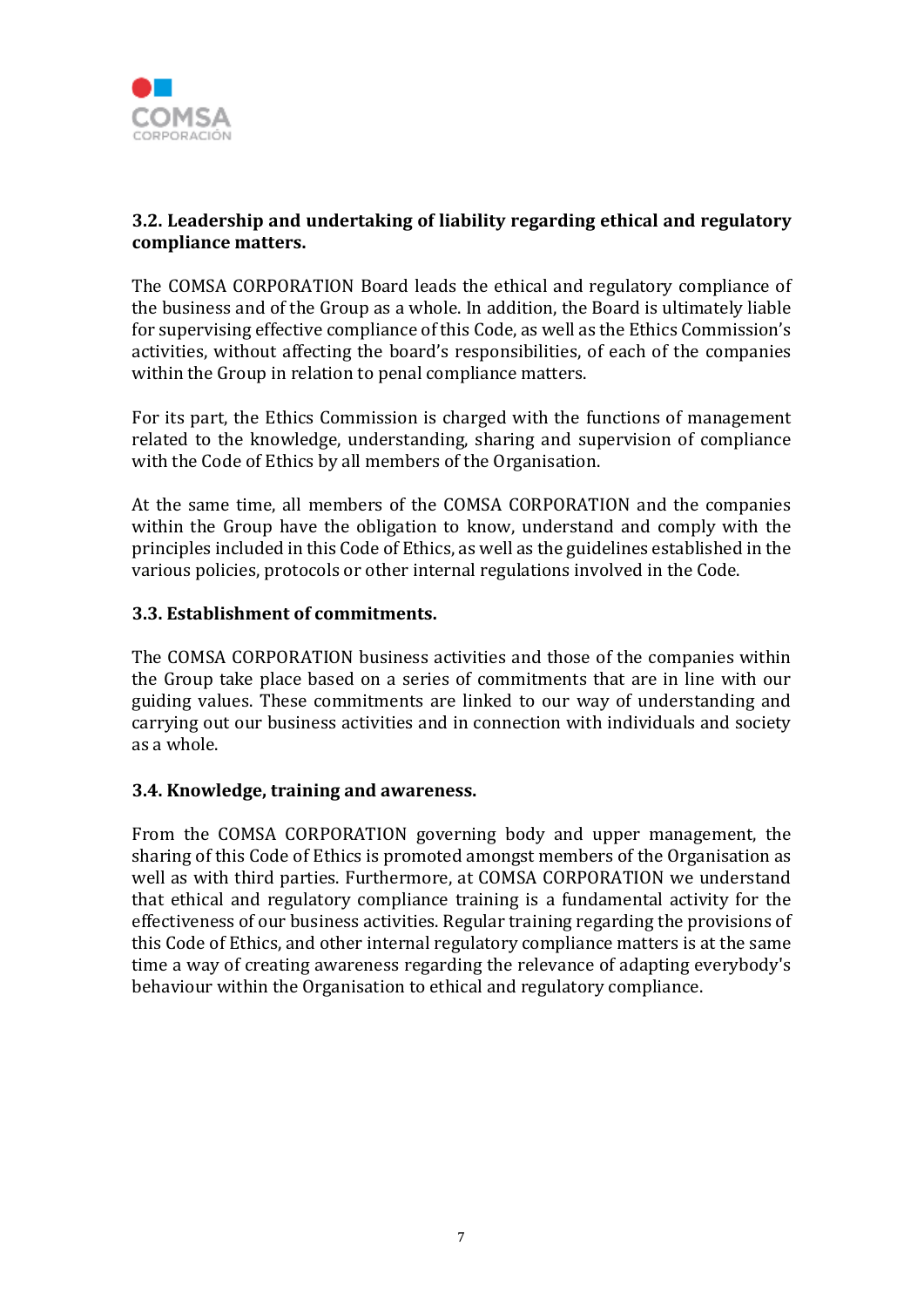

# **3.2. Leadership and undertaking of liability regarding ethical and regulatory compliance matters.**

The COMSA CORPORATION Board leads the ethical and regulatory compliance of the business and of the Group as a whole. In addition, the Board is ultimately liable for supervising effective compliance of this Code, as well as the Ethics Commission's activities, without affecting the board's responsibilities, of each of the companies within the Group in relation to penal compliance matters.

For its part, the Ethics Commission is charged with the functions of management related to the knowledge, understanding, sharing and supervision of compliance with the Code of Ethics by all members of the Organisation.

At the same time, all members of the COMSA CORPORATION and the companies within the Group have the obligation to know, understand and comply with the principles included in this Code of Ethics, as well as the guidelines established in the various policies, protocols or other internal regulations involved in the Code.

#### **3.3. Establishment of commitments.**

The COMSA CORPORATION business activities and those of the companies within the Group take place based on a series of commitments that are in line with our guiding values. These commitments are linked to our way of understanding and carrying out our business activities and in connection with individuals and society as a whole.

#### **3.4. Knowledge, training and awareness.**

From the COMSA CORPORATION governing body and upper management, the sharing of this Code of Ethics is promoted amongst members of the Organisation as well as with third parties. Furthermore, at COMSA CORPORATION we understand that ethical and regulatory compliance training is a fundamental activity for the effectiveness of our business activities. Regular training regarding the provisions of this Code of Ethics, and other internal regulatory compliance matters is at the same time a way of creating awareness regarding the relevance of adapting everybody's behaviour within the Organisation to ethical and regulatory compliance.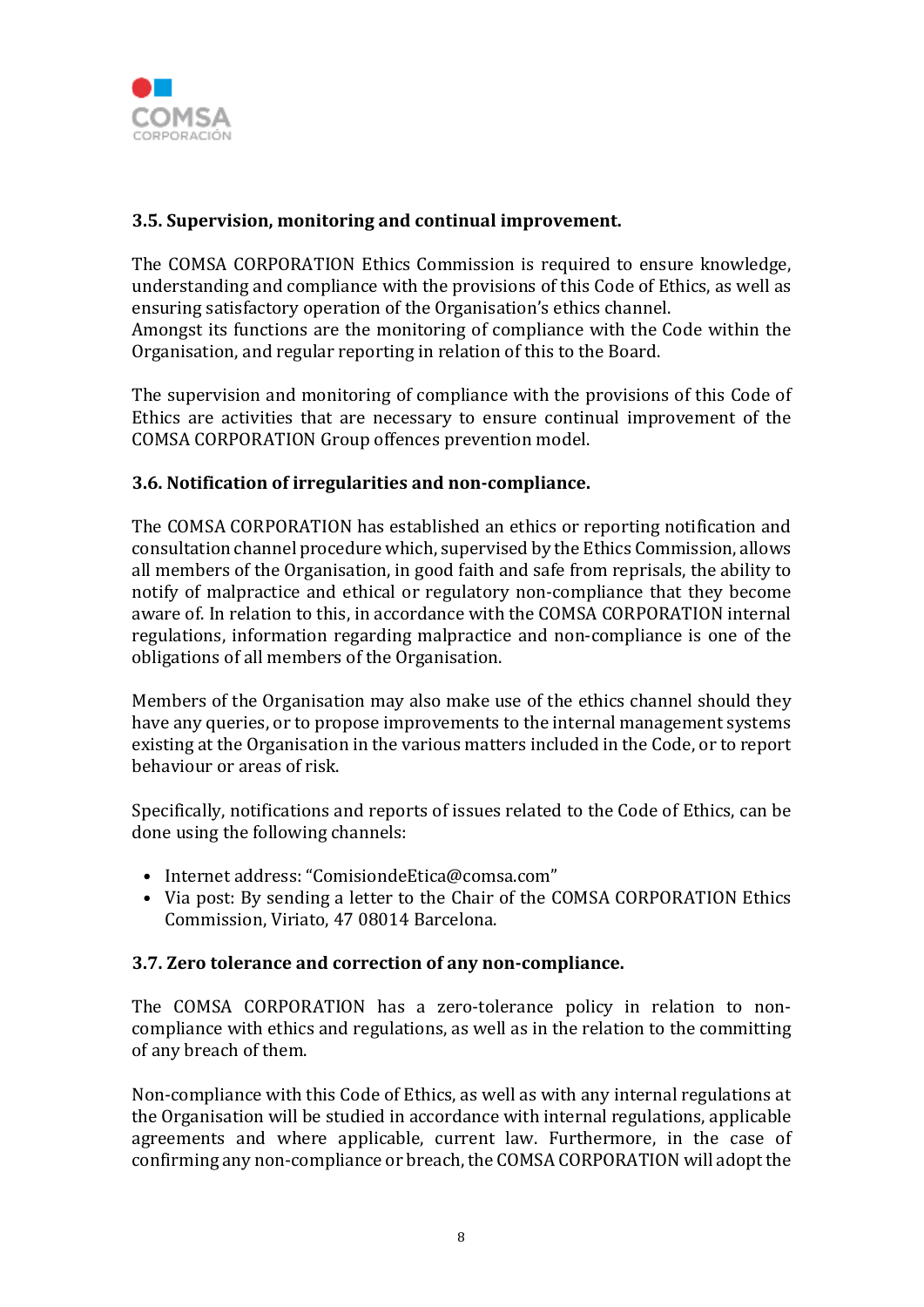

# **3.5. Supervision, monitoring and continual improvement.**

The COMSA CORPORATION Ethics Commission is required to ensure knowledge, understanding and compliance with the provisions of this Code of Ethics, as well as ensuring satisfactory operation of the Organisation's ethics channel. Amongst its functions are the monitoring of compliance with the Code within the Organisation, and regular reporting in relation of this to the Board.

The supervision and monitoring of compliance with the provisions of this Code of Ethics are activities that are necessary to ensure continual improvement of the COMSA CORPORATION Group offences prevention model.

#### **3.6. Notification of irregularities and non-compliance.**

The COMSA CORPORATION has established an ethics or reporting notification and consultation channel procedure which, supervised by the Ethics Commission, allows all members of the Organisation, in good faith and safe from reprisals, the ability to notify of malpractice and ethical or regulatory non-compliance that they become aware of. In relation to this, in accordance with the COMSA CORPORATION internal regulations, information regarding malpractice and non-compliance is one of the obligations of all members of the Organisation.

Members of the Organisation may also make use of the ethics channel should they have any queries, or to propose improvements to the internal management systems existing at the Organisation in the various matters included in the Code, or to report behaviour or areas of risk.

Specifically, notifications and reports of issues related to the Code of Ethics, can be done using the following channels:

- Internet address: "ComisiondeEtica@comsa.com"
- Via post: By sending a letter to the Chair of the COMSA CORPORATION Ethics Commission, Viriato, 47 08014 Barcelona.

#### **3.7. Zero tolerance and correction of any non-compliance.**

The COMSA CORPORATION has a zero-tolerance policy in relation to noncompliance with ethics and regulations, as well as in the relation to the committing of any breach of them.

Non-compliance with this Code of Ethics, as well as with any internal regulations at the Organisation will be studied in accordance with internal regulations, applicable agreements and where applicable, current law. Furthermore, in the case of confirming any non-compliance or breach, the COMSA CORPORATION will adopt the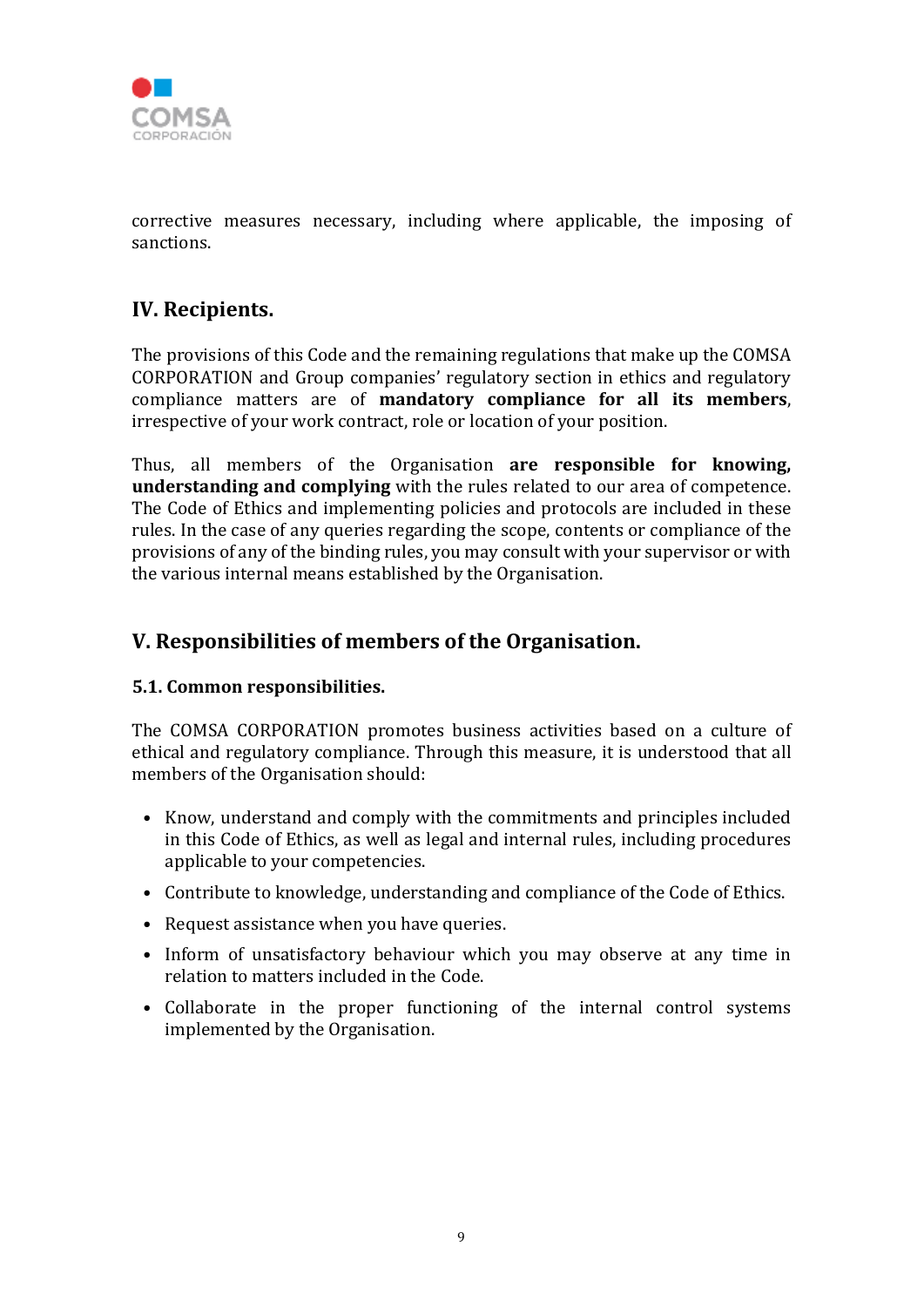

corrective measures necessary, including where applicable, the imposing of sanctions.

# **IV. Recipients.**

The provisions of this Code and the remaining regulations that make up the COMSA CORPORATION and Group companies' regulatory section in ethics and regulatory compliance matters are of **mandatory compliance for all its members**, irrespective of your work contract, role or location of your position.

Thus, all members of the Organisation **are responsible for knowing, understanding and complying** with the rules related to our area of competence. The Code of Ethics and implementing policies and protocols are included in these rules. In the case of any queries regarding the scope, contents or compliance of the provisions of any of the binding rules, you may consult with your supervisor or with the various internal means established by the Organisation.

# **V. Responsibilities of members of the Organisation.**

# **5.1. Common responsibilities.**

The COMSA CORPORATION promotes business activities based on a culture of ethical and regulatory compliance. Through this measure, it is understood that all members of the Organisation should:

- Know, understand and comply with the commitments and principles included in this Code of Ethics, as well as legal and internal rules, including procedures applicable to your competencies.
- Contribute to knowledge, understanding and compliance of the Code of Ethics.
- Request assistance when you have queries.
- Inform of unsatisfactory behaviour which you may observe at any time in relation to matters included in the Code.
- Collaborate in the proper functioning of the internal control systems implemented by the Organisation.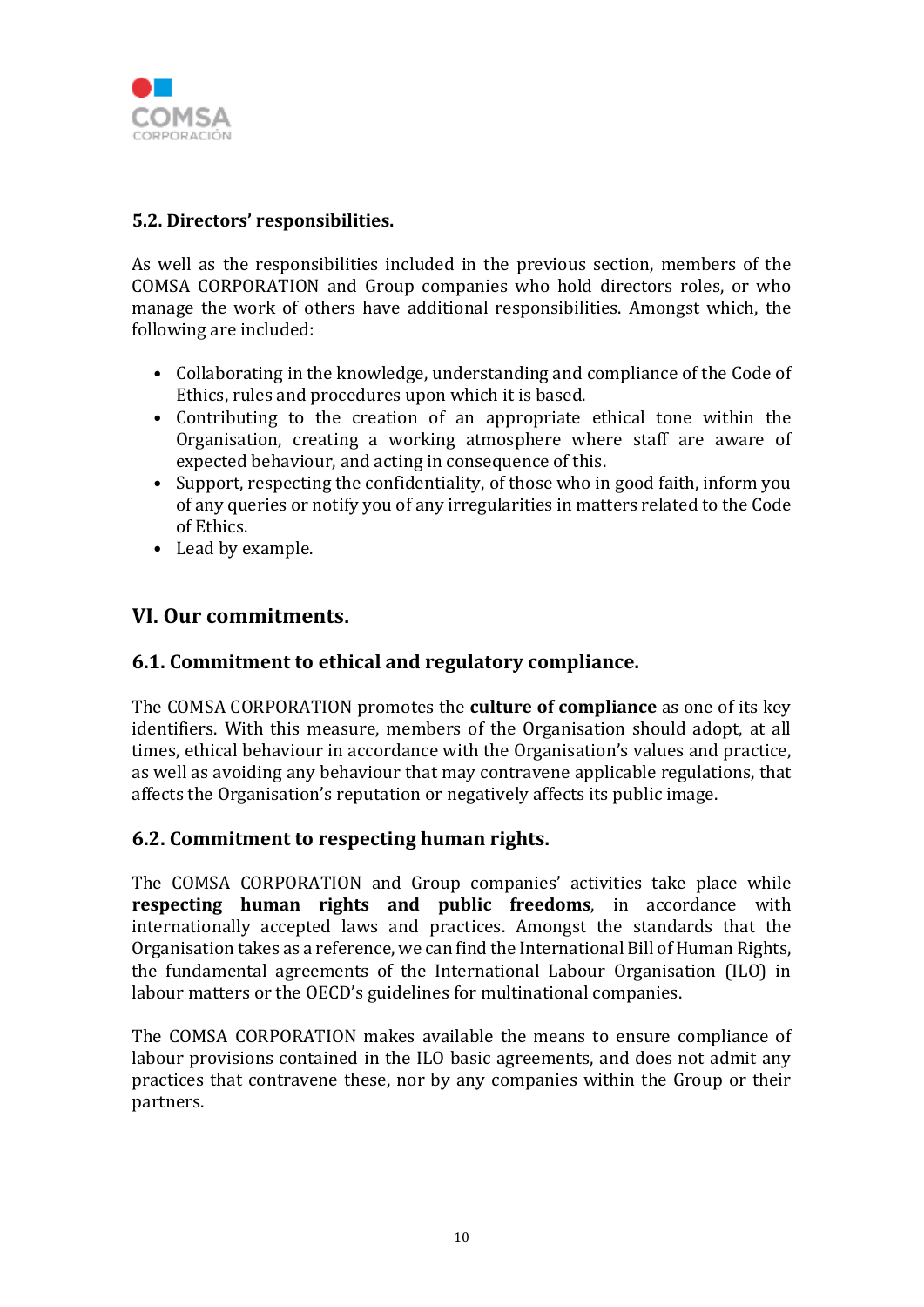

## **5.2. Directors' responsibilities.**

As well as the responsibilities included in the previous section, members of the COMSA CORPORATION and Group companies who hold directors roles, or who manage the work of others have additional responsibilities. Amongst which, the following are included:

- Collaborating in the knowledge, understanding and compliance of the Code of Ethics, rules and procedures upon which it is based.
- Contributing to the creation of an appropriate ethical tone within the Organisation, creating a working atmosphere where staff are aware of expected behaviour, and acting in consequence of this.
- Support, respecting the confidentiality, of those who in good faith, inform you of any queries or notify you of any irregularities in matters related to the Code of Ethics.
- Lead by example.

# **VI. Our commitments.**

# **6.1. Commitment to ethical and regulatory compliance.**

The COMSA CORPORATION promotes the **culture of compliance** as one of its key identifiers. With this measure, members of the Organisation should adopt, at all times, ethical behaviour in accordance with the Organisation's values and practice, as well as avoiding any behaviour that may contravene applicable regulations, that affects the Organisation's reputation or negatively affects its public image.

# **6.2. Commitment to respecting human rights.**

The COMSA CORPORATION and Group companies' activities take place while **respecting human rights and public freedoms**, in accordance with internationally accepted laws and practices. Amongst the standards that the Organisation takes as a reference, we can find the International Bill of Human Rights, the fundamental agreements of the International Labour Organisation (ILO) in labour matters or the OECD's guidelines for multinational companies.

The COMSA CORPORATION makes available the means to ensure compliance of labour provisions contained in the ILO basic agreements, and does not admit any practices that contravene these, nor by any companies within the Group or their partners.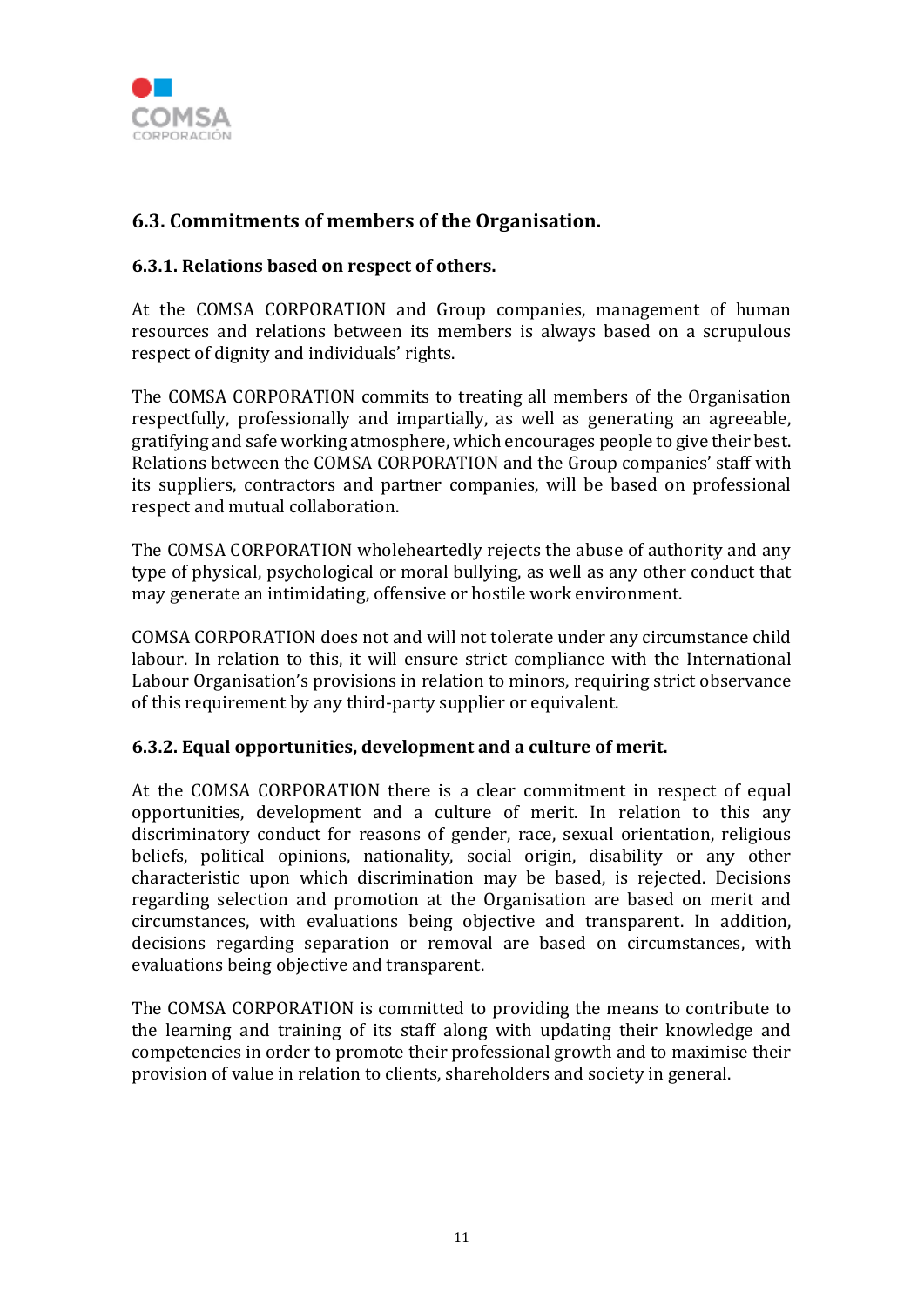

# **6.3. Commitments of members of the Organisation.**

#### **6.3.1. Relations based on respect of others.**

At the COMSA CORPORATION and Group companies, management of human resources and relations between its members is always based on a scrupulous respect of dignity and individuals' rights.

The COMSA CORPORATION commits to treating all members of the Organisation respectfully, professionally and impartially, as well as generating an agreeable, gratifying and safe working atmosphere, which encourages people to give their best. Relations between the COMSA CORPORATION and the Group companies' staff with its suppliers, contractors and partner companies, will be based on professional respect and mutual collaboration.

The COMSA CORPORATION wholeheartedly rejects the abuse of authority and any type of physical, psychological or moral bullying, as well as any other conduct that may generate an intimidating, offensive or hostile work environment.

COMSA CORPORATION does not and will not tolerate under any circumstance child labour. In relation to this, it will ensure strict compliance with the International Labour Organisation's provisions in relation to minors, requiring strict observance of this requirement by any third-party supplier or equivalent.

#### **6.3.2. Equal opportunities, development and a culture of merit.**

At the COMSA CORPORATION there is a clear commitment in respect of equal opportunities, development and a culture of merit. In relation to this any discriminatory conduct for reasons of gender, race, sexual orientation, religious beliefs, political opinions, nationality, social origin, disability or any other characteristic upon which discrimination may be based, is rejected. Decisions regarding selection and promotion at the Organisation are based on merit and circumstances, with evaluations being objective and transparent. In addition, decisions regarding separation or removal are based on circumstances, with evaluations being objective and transparent.

The COMSA CORPORATION is committed to providing the means to contribute to the learning and training of its staff along with updating their knowledge and competencies in order to promote their professional growth and to maximise their provision of value in relation to clients, shareholders and society in general.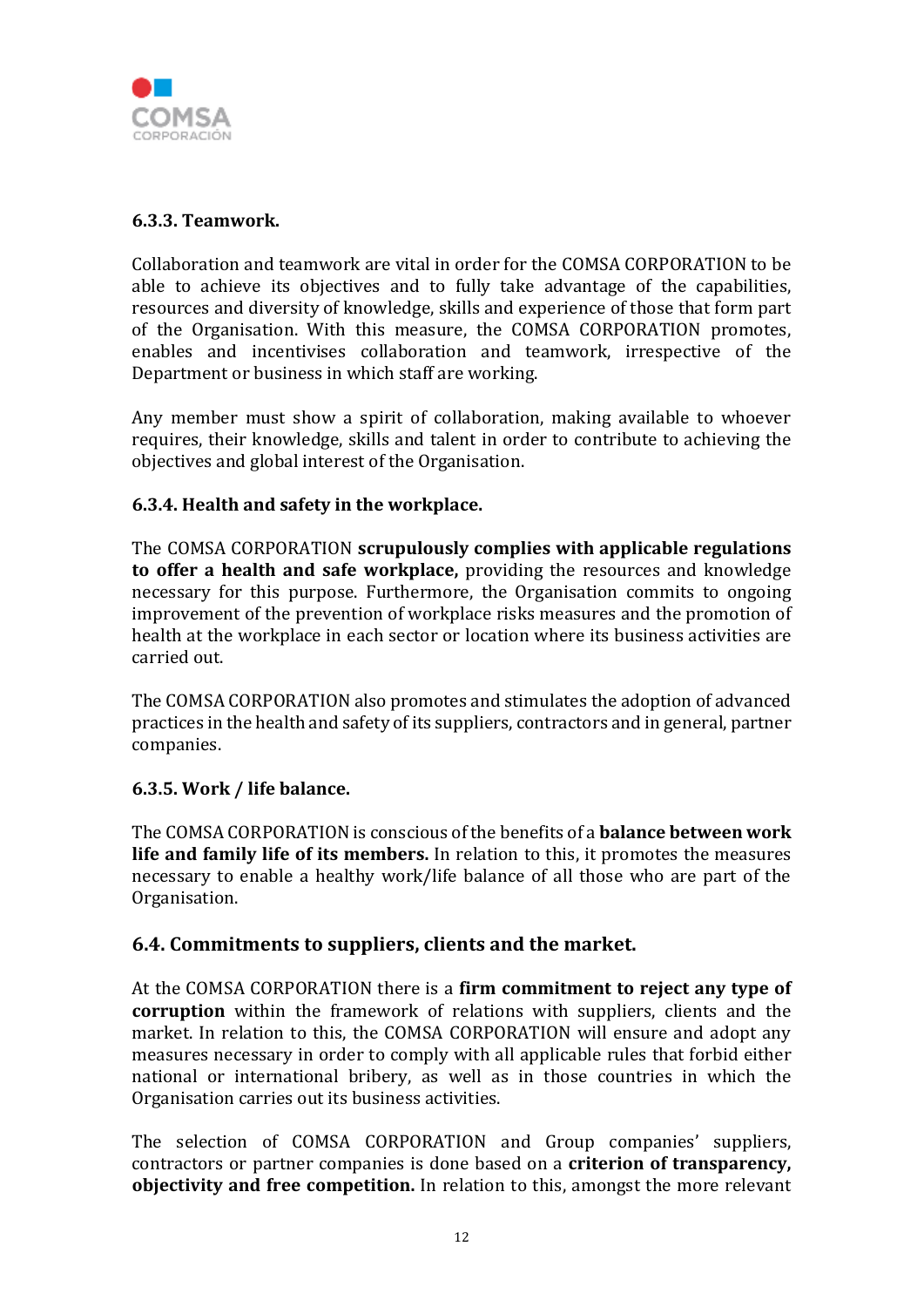

## **6.3.3. Teamwork.**

Collaboration and teamwork are vital in order for the COMSA CORPORATION to be able to achieve its objectives and to fully take advantage of the capabilities, resources and diversity of knowledge, skills and experience of those that form part of the Organisation. With this measure, the COMSA CORPORATION promotes, enables and incentivises collaboration and teamwork, irrespective of the Department or business in which staff are working.

Any member must show a spirit of collaboration, making available to whoever requires, their knowledge, skills and talent in order to contribute to achieving the objectives and global interest of the Organisation.

#### **6.3.4. Health and safety in the workplace.**

The COMSA CORPORATION **scrupulously complies with applicable regulations to offer a health and safe workplace,** providing the resources and knowledge necessary for this purpose. Furthermore, the Organisation commits to ongoing improvement of the prevention of workplace risks measures and the promotion of health at the workplace in each sector or location where its business activities are carried out.

The COMSA CORPORATION also promotes and stimulates the adoption of advanced practices in the health and safety of its suppliers, contractors and in general, partner companies.

#### **6.3.5. Work / life balance.**

The COMSA CORPORATION is conscious of the benefits of a **balance between work life and family life of its members.** In relation to this, it promotes the measures necessary to enable a healthy work/life balance of all those who are part of the Organisation.

# **6.4. Commitments to suppliers, clients and the market.**

At the COMSA CORPORATION there is a **firm commitment to reject any type of corruption** within the framework of relations with suppliers, clients and the market. In relation to this, the COMSA CORPORATION will ensure and adopt any measures necessary in order to comply with all applicable rules that forbid either national or international bribery, as well as in those countries in which the Organisation carries out its business activities.

The selection of COMSA CORPORATION and Group companies' suppliers, contractors or partner companies is done based on a **criterion of transparency, objectivity and free competition.** In relation to this, amongst the more relevant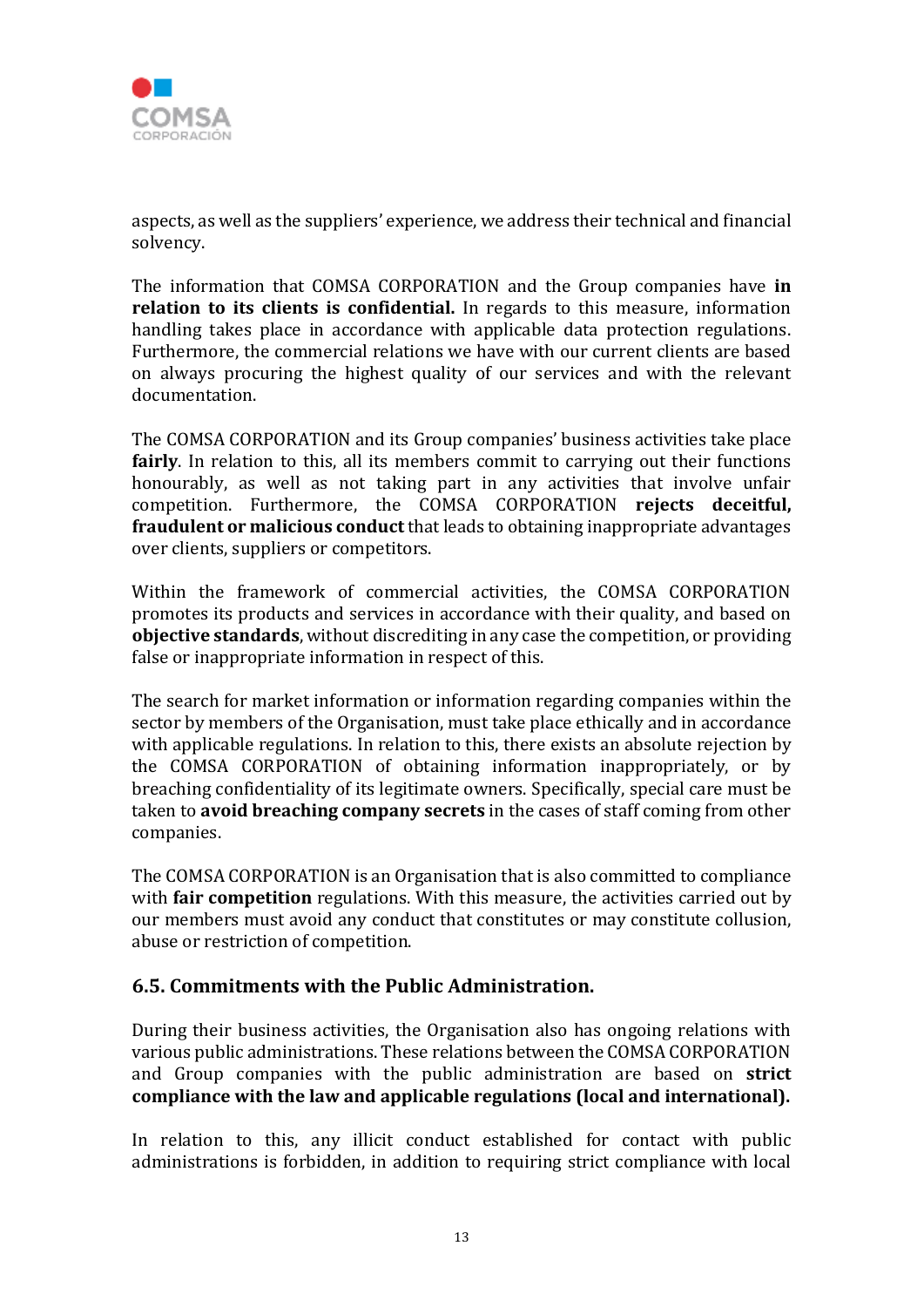

aspects, as well as the suppliers' experience, we address their technical and financial solvency.

The information that COMSA CORPORATION and the Group companies have **in relation to its clients is confidential.** In regards to this measure, information handling takes place in accordance with applicable data protection regulations. Furthermore, the commercial relations we have with our current clients are based on always procuring the highest quality of our services and with the relevant documentation.

The COMSA CORPORATION and its Group companies' business activities take place **fairly**. In relation to this, all its members commit to carrying out their functions honourably, as well as not taking part in any activities that involve unfair competition. Furthermore, the COMSA CORPORATION **rejects deceitful, fraudulent or malicious conduct** that leads to obtaining inappropriate advantages over clients, suppliers or competitors.

Within the framework of commercial activities, the COMSA CORPORATION promotes its products and services in accordance with their quality, and based on **objective standards**, without discrediting in any case the competition, or providing false or inappropriate information in respect of this.

The search for market information or information regarding companies within the sector by members of the Organisation, must take place ethically and in accordance with applicable regulations. In relation to this, there exists an absolute rejection by the COMSA CORPORATION of obtaining information inappropriately, or by breaching confidentiality of its legitimate owners. Specifically, special care must be taken to **avoid breaching company secrets** in the cases of staff coming from other companies.

The COMSA CORPORATION is an Organisation that is also committed to compliance with **fair competition** regulations. With this measure, the activities carried out by our members must avoid any conduct that constitutes or may constitute collusion, abuse or restriction of competition.

# **6.5. Commitments with the Public Administration.**

During their business activities, the Organisation also has ongoing relations with various public administrations. These relations between the COMSA CORPORATION and Group companies with the public administration are based on **strict compliance with the law and applicable regulations (local and international).**

In relation to this, any illicit conduct established for contact with public administrations is forbidden, in addition to requiring strict compliance with local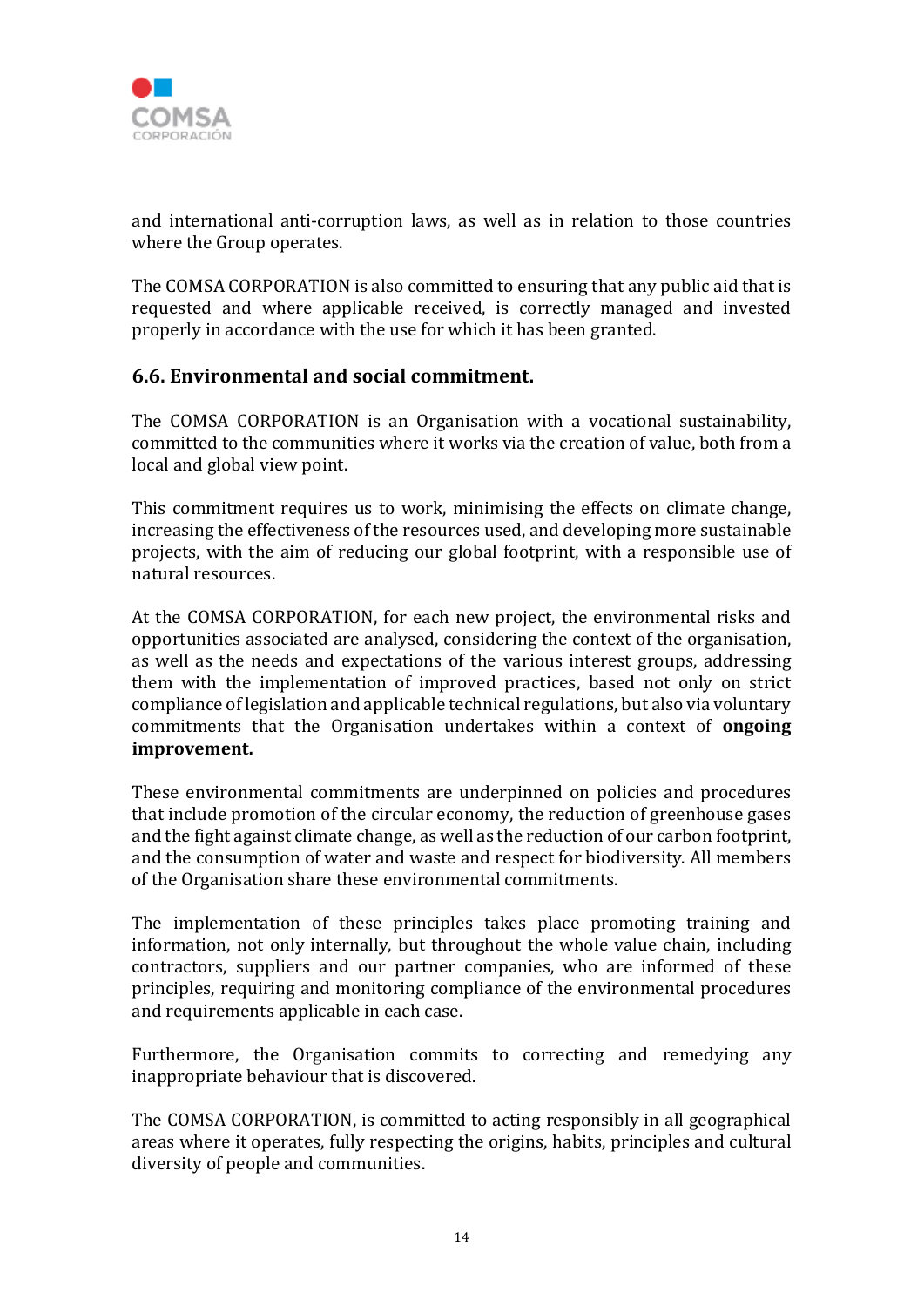

and international anti-corruption laws, as well as in relation to those countries where the Group operates.

The COMSA CORPORATION is also committed to ensuring that any public aid that is requested and where applicable received, is correctly managed and invested properly in accordance with the use for which it has been granted.

# **6.6. Environmental and social commitment.**

The COMSA CORPORATION is an Organisation with a vocational sustainability, committed to the communities where it works via the creation of value, both from a local and global view point.

This commitment requires us to work, minimising the effects on climate change, increasing the effectiveness of the resources used, and developing more sustainable projects, with the aim of reducing our global footprint, with a responsible use of natural resources.

At the COMSA CORPORATION, for each new project, the environmental risks and opportunities associated are analysed, considering the context of the organisation, as well as the needs and expectations of the various interest groups, addressing them with the implementation of improved practices, based not only on strict compliance of legislation and applicable technical regulations, but also via voluntary commitments that the Organisation undertakes within a context of **ongoing improvement.**

These environmental commitments are underpinned on policies and procedures that include promotion of the circular economy, the reduction of greenhouse gases and the fight against climate change, as well as the reduction of our carbon footprint, and the consumption of water and waste and respect for biodiversity. All members of the Organisation share these environmental commitments.

The implementation of these principles takes place promoting training and information, not only internally, but throughout the whole value chain, including contractors, suppliers and our partner companies, who are informed of these principles, requiring and monitoring compliance of the environmental procedures and requirements applicable in each case.

Furthermore, the Organisation commits to correcting and remedying any inappropriate behaviour that is discovered.

The COMSA CORPORATION, is committed to acting responsibly in all geographical areas where it operates, fully respecting the origins, habits, principles and cultural diversity of people and communities.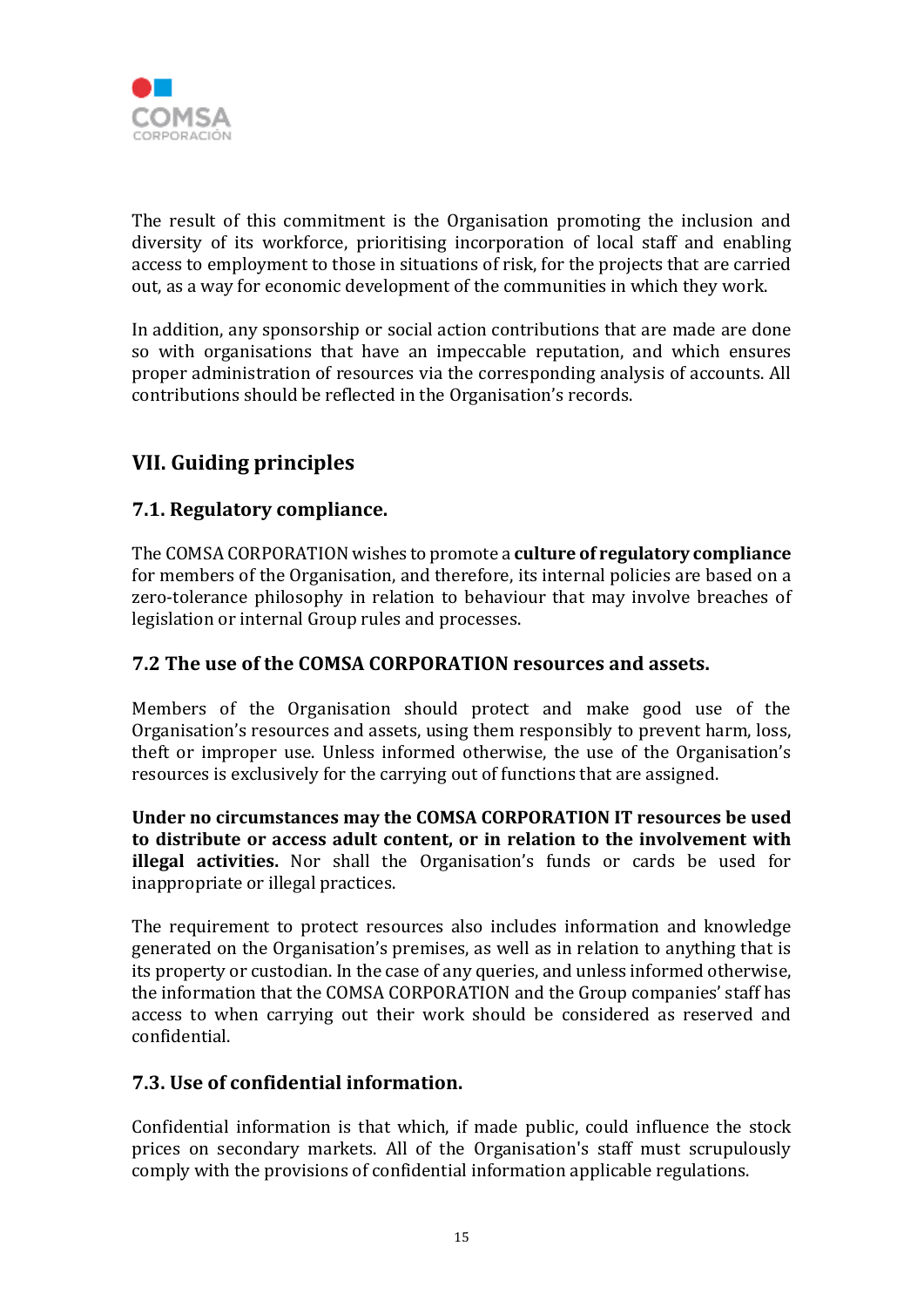

The result of this commitment is the Organisation promoting the inclusion and diversity of its workforce, prioritising incorporation of local staff and enabling access to employment to those in situations of risk, for the projects that are carried out, as a way for economic development of the communities in which they work.

In addition, any sponsorship or social action contributions that are made are done so with organisations that have an impeccable reputation, and which ensures proper administration of resources via the corresponding analysis of accounts. All contributions should be reflected in the Organisation's records.

# **VII. Guiding principles**

# **7.1. Regulatory compliance.**

The COMSA CORPORATION wishes to promote a **culture of regulatory compliance** for members of the Organisation, and therefore, its internal policies are based on a zero-tolerance philosophy in relation to behaviour that may involve breaches of legislation or internal Group rules and processes.

## **7.2 The use of the COMSA CORPORATION resources and assets.**

Members of the Organisation should protect and make good use of the Organisation's resources and assets, using them responsibly to prevent harm, loss, theft or improper use. Unless informed otherwise, the use of the Organisation's resources is exclusively for the carrying out of functions that are assigned.

**Under no circumstances may the COMSA CORPORATION IT resources be used to distribute or access adult content, or in relation to the involvement with illegal activities.** Nor shall the Organisation's funds or cards be used for inappropriate or illegal practices.

The requirement to protect resources also includes information and knowledge generated on the Organisation's premises, as well as in relation to anything that is its property or custodian. In the case of any queries, and unless informed otherwise, the information that the COMSA CORPORATION and the Group companies' staff has access to when carrying out their work should be considered as reserved and confidential.

# **7.3. Use of confidential information.**

Confidential information is that which, if made public, could influence the stock prices on secondary markets. All of the Organisation's staff must scrupulously comply with the provisions of confidential information applicable regulations.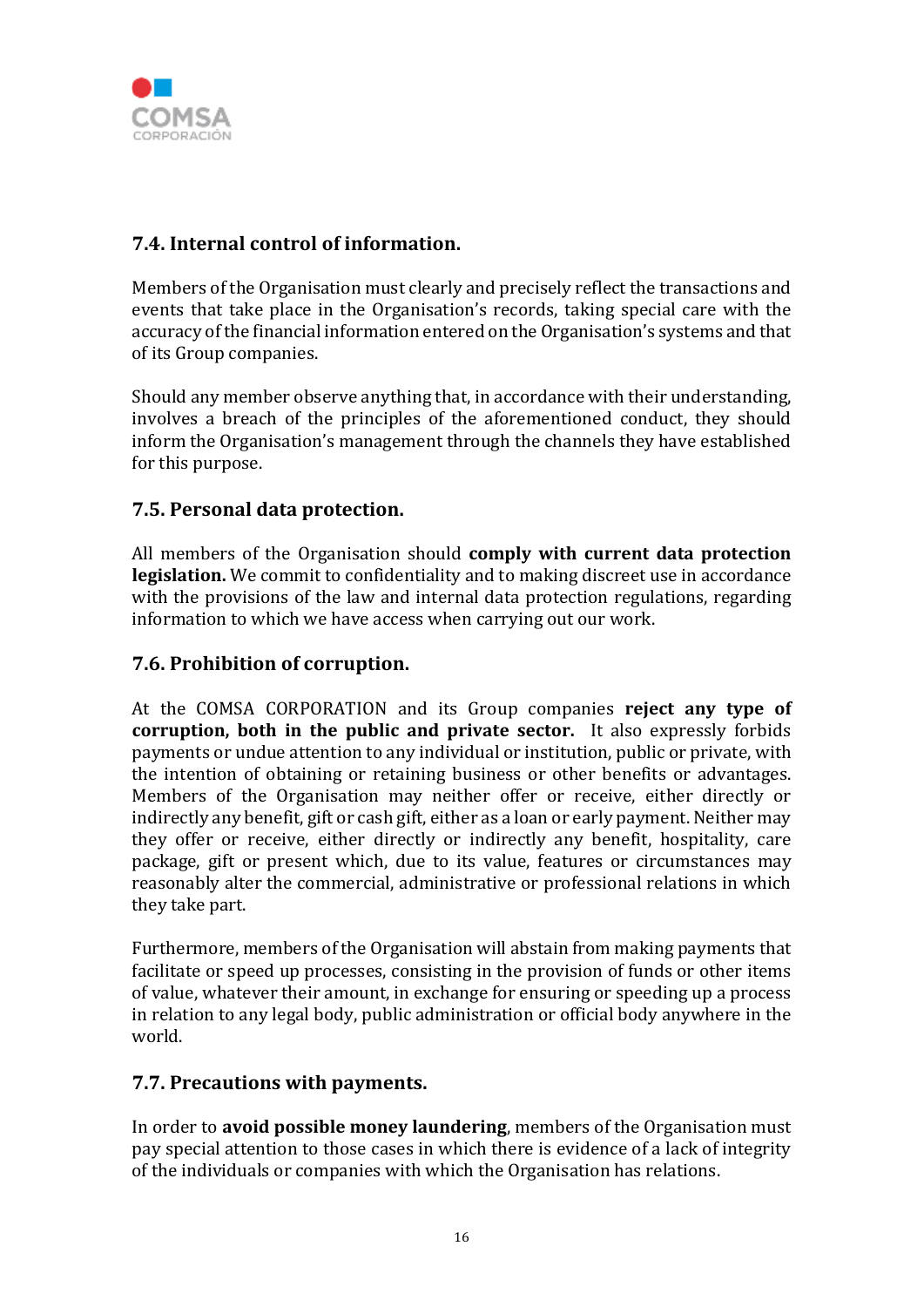

# **7.4. Internal control of information.**

Members of the Organisation must clearly and precisely reflect the transactions and events that take place in the Organisation's records, taking special care with the accuracy of the financial information entered on the Organisation's systems and that of its Group companies.

Should any member observe anything that, in accordance with their understanding, involves a breach of the principles of the aforementioned conduct, they should inform the Organisation's management through the channels they have established for this purpose.

# **7.5. Personal data protection.**

All members of the Organisation should **comply with current data protection legislation.** We commit to confidentiality and to making discreet use in accordance with the provisions of the law and internal data protection regulations, regarding information to which we have access when carrying out our work.

# **7.6. Prohibition of corruption.**

At the COMSA CORPORATION and its Group companies **reject any type of corruption, both in the public and private sector.** It also expressly forbids payments or undue attention to any individual or institution, public or private, with the intention of obtaining or retaining business or other benefits or advantages. Members of the Organisation may neither offer or receive, either directly or indirectly any benefit, gift or cash gift, either as a loan or early payment. Neither may they offer or receive, either directly or indirectly any benefit, hospitality, care package, gift or present which, due to its value, features or circumstances may reasonably alter the commercial, administrative or professional relations in which they take part.

Furthermore, members of the Organisation will abstain from making payments that facilitate or speed up processes, consisting in the provision of funds or other items of value, whatever their amount, in exchange for ensuring or speeding up a process in relation to any legal body, public administration or official body anywhere in the world.

#### **7.7. Precautions with payments.**

In order to **avoid possible money laundering**, members of the Organisation must pay special attention to those cases in which there is evidence of a lack of integrity of the individuals or companies with which the Organisation has relations.